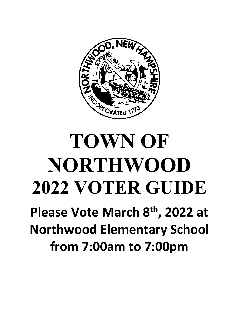

# **TOWN OF NORTHWOOD 2022 VOTER GUIDE Please Vote March 8th, 2022 at Northwood Elementary School**

**from 7:00am to 7:00pm**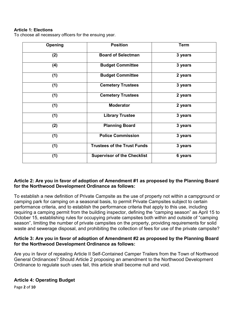#### **Article 1: Elections**

To choose all necessary officers for the ensuing year.

| Opening | <b>Position</b>                    | <b>Term</b> |
|---------|------------------------------------|-------------|
| (2)     | <b>Board of Selectman</b>          | 3 years     |
| (4)     | <b>Budget Committee</b>            | 3 years     |
| (1)     | <b>Budget Committee</b>            | 2 years     |
| (1)     | <b>Cemetery Trustees</b>           | 3 years     |
| (1)     | <b>Cemetery Trustees</b>           | 2 years     |
| (1)     | <b>Moderator</b>                   | 2 years     |
| (1)     | <b>Library Trustee</b>             | 3 years     |
| (2)     | <b>Planning Board</b>              | 3 years     |
| (1)     | <b>Police Commission</b>           | 3 years     |
| (1)     | <b>Trustees of the Trust Funds</b> | 3 years     |
| (1)     | <b>Supervisor of the Checklist</b> | 6 years     |

## **Article 2: Are you in favor of adoption of Amendment #1 as proposed by the Planning Board for the Northwood Development Ordinance as follows:**

To establish a new definition of Private Campsite as the use of property not within a campground or camping park for camping on a seasonal basis, to permit Private Campsites subject to certain performance criteria, and to establish the performance criteria that apply to this use, including requiring a camping permit from the building inspector, defining the "camping season" as April 15 to October 15, establishing rules for occupying private campsites both within and outside of "camping season", limiting the number of private campsites on the property, providing requirements for solid waste and sewerage disposal, and prohibiting the collection of fees for use of the private campsite?

#### **Article 3: Are you in favor of adoption of Amendment #2 as proposed by the Planning Board for the Northwood Development Ordinance as follows:**

Are you in favor of repealing Article II Self-Contained Camper Trailers from the Town of Northwood General Ordinances? Should Article 2 proposing an amendment to the Northwood Development Ordinance to regulate such uses fail, this article shall become null and void.

#### **Article 4: Operating Budget**

Page **2** of **10**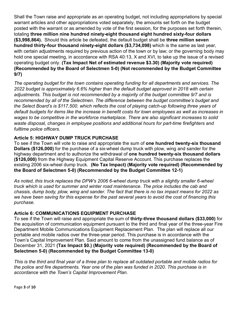Shall the Town raise and appropriate as an operating budget, not including appropriations by special warrant articles and other appropriations voted separately, the amounts set forth on the budget posted with the warrant or as amended by vote of the first session, for the purposes set forth therein, totaling **three million nine hundred ninety-eight thousand eight hundred sixty-four dollars (\$3,998,864).** Should this article be defeated, the default budget shall be **three million seven hundred thirty-four thousand ninety-eight dollars (\$3,734,098)** which is the same as last year, with certain adjustments required by previous action of the town or by law; or the governing body may hold one special meeting, in accordance with RSA 40:13, X and XVI, to take up the issue of a revised operating budget only. **(Tax Impact Net of estimated revenue \$3.30) (Majority vote required) (Recommended by the Board of Selectmen 5-0) (Not recommended by the Budget Committee 9/7)**

*The operating budget for the town contains operating funding for all departments and services. The 2022 budget is approximately 6.6% higher than the default budget approved in 2018 with certain adjustments. This budget is not recommended by a majority of the budget committee 9/7 and is recommended by all of the Selectmen. The difference between the budget committee's budget and the Select Board's is \$117,500. which reflects the cost of playing catch-up following three years of default budgets for items like the increase in benefit costs for town employees as well as increases in wages to be competitive in the workforce marketplace. There are also significant increases to solid waste disposal, changes in employee positions and additional hours for part-time firefighters and fulltime police officers.*

## **Article 5: HIGHWAY DUMP TRUCK PURCHASE**

To see if the Town will vote to raise and appropriate the sum of **one hundred twenty-six thousand Dollars (\$126,000)** for the purchase of a six-wheel dump truck with plow, wing and sander for the highway department and to authorize the withdrawal of **one hundred twenty-six thousand dollars (\$126,000)** from the Highway Equipment Capital Reserve Account. This purchase replaces the existing 2006 six-wheel dump truck. **(No Tax Impact) (Majority vote required) (Recommended by the Board of Selectmen 5-0) (Recommended by the Budget Committee 12-1)**

*As noted, this truck replaces the DPW's 2006 6-wheel dump truck with a slightly smaller 6-wheel truck which is used for summer and winter road maintenance. The price includes the cab and chassis, dump body, plow, wing and sander. The fact that there is no tax impact means for 2022 as we have been saving for this expense for the past several years to avoid the cost of financing this purchase.* 

## **Article 6: COMMUNICATIONS EQUIPMENT PURCHASE**

To see if the Town will raise and appropriate the sum of **thirty-three thousand dollars (\$33,000)** for the acquisition of communication equipment pursuant to the third and final year of the three-year Fire Department Mobile Communications Equipment Replacement Plan. The plan will replace all our portable and mobile radios over the three-year period. This purchase is in accordance with the Town's Capital Improvement Plan. Said amount to come from the unassigned fund balance as of December 31, 2021 **(Tax Impact \$0.) (Majority vote required) (Recommended by the Board of Selectmen 5-0) (Recommended by the Budget Committee 13-0)**

*This is the third and final year of a three plan to replace all outdated portable and mobile radios for the police and fire departments. Year one of the plan was funded in 2020. This purchase is in accordance with the Town's Capital Improvement Plan.*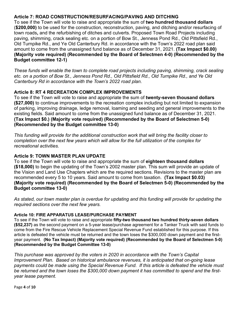## **Article 7: ROAD CONSTRUCTION/RESURFACING/PAVING AND DITCHING**

To see if the Town will vote to raise and appropriate the sum of **two hundred thousand dollars** (**\$200,000)** to be used for the construction, reconstruction, paving, and ditching and/or resurfacing of town roads**,** and the refurbishing of ditches and culverts. Proposed Town Road Projects including paving, shimming, crack sealing etc. on a portion of Bow St., Jenness Pond Rd., Old Pittsfield Rd., Old Turnpike Rd., and Ye Old Canterbury Rd. in accordance with the Town's 2022 road plan said amount to come from the unassigned fund balance as of December 31, 2021. **(Tax Impact \$0.00) (Majority vote required) (Recommended by the Board of Selectmen 4-0) (Recommended by the Budget committee 12-1)**

*These funds will enable the town to complete road projects including paving, shimming, crack sealing etc. on a portion of Bow St., Jenness Pond Rd., Old Pittsfield Rd., Old Turnpike Rd., and Ye Old Canterbury Rd in accordance with the Town's 2022 road plan.*

## **Article 8: RT 4 RECREATION COMPLEX IMPROVEMENTS**

To see if the Town will vote to raise and appropriate the sum of **twenty-seven thousand dollars (\$27,000)** to continue improvements to the recreation complex including but not limited to expansion of parking, improving drainage, ledge removal, loaming and seeding and general improvements to the existing fields. Said amount to come from the unassigned fund balance as of December 31, 2021. **(Tax Impact \$0.) (Majority vote required) (Recommended by the Board of Selectmen 5-0) (Recommended by the Budget committee 13-0)**

*This funding will provide for the additional construction work that will bring the facility closer to completion over the next few years which will allow for the full utilization of the complex for recreational activities.* 

## **Article 9: TOWN MASTER PLAN UPDATE**

To see if the Town will vote to raise and appropriate the sum of **eighteen thousand dollars (\$18,000)** to begin the updating of the Town's 2002 master plan. This sum will provide an update of the Vision and Land Use Chapters which are the required sections. Revisions to the master plan are recommended every 5 to 10 years. Said amount to come from taxation. **(Tax Impact \$0.03) (Majority vote required) (Recommended by the Board of Selectmen 5-0) (Recommended by the Budget committee 13-0)**

*As stated, our town master plan is overdue for updating and this funding will provide for updating the required sections over the next few years.* 

#### **Article 10: FIRE APPARATUS LEASE/PURCHASE PAYMENT**

To see if the Town will vote to raise and appropriate **fifty-two thousand two hundred thirty-seven dollars (\$52,237)** as the second payment on a 5-year lease/purchase agreement for a Tanker Truck with said funds to come from the Fire Rescue Vehicle Replacement Special Revenue Fund established for this purpose. If this article is defeated the vehicle must be returned and the town loses the \$300,000 down payment and the firstyear payment. **(No Tax Impact) (Majority vote required) (Recommended by the Board of Selectmen 5-0) (Recommended by the Budget Committee 13-0)**

*This purchase was approved by the voters in 2020 in accordance with the Town's Capital Improvement Plan. Based on historical ambulance revenues, it is anticipated that on-going lease payments could be made using the Special Revenue Fund. If this article is defeated the vehicle must be returned and the town loses the \$300,000 down payment it has committed to spend and the firstyear lease payment.* 

Page **4** of **10**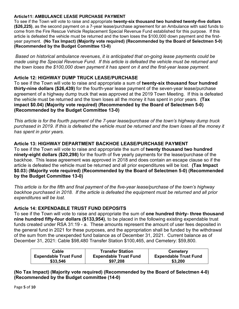#### **Article11: AMBULANCE LEASE PURCHASE PAYMENT**

To see if the Town will vote to raise and appropriate **twenty-six thousand two hundred twenty-five dollars (\$26,225)**, as the second payment on a 7-year lease/purchase agreement for an Ambulance with said funds to come from the Fire Rescue Vehicle Replacement Special Revenue Fund established for this purpose. If this article is defeated the vehicle must be returned and the town loses the \$100,000 down payment and the firstyear payment. **(No Tax Impact) (Majority vote required) (Recommended by the Board of Selectmen 5-0) (Recommended by the Budget Committee 13-0)**

*Based on historical ambulance revenues, it is anticipated that on-going lease payments could be made using the Special Revenue Fund. If this article is defeated the vehicle must be returned and the town loses the \$100,000 down payment it has spent on it and the first-year lease payment.*

## **Article 12: HIGHWAY DUMP TRUCK LEASE/PURCHASE**

To see if the Town will vote to raise and appropriate a sum of **twenty-six thousand four hundred thirty-nine dollars (\$26,439)** for the fourth-year lease payment of the seven-year lease/purchase agreement of a highway dump truck that was approved at the 2019 Town Meeting. If this is defeated the vehicle must be returned and the town loses all the money it has spent in prior years. **(Tax impact \$0.04) (Majority vote required) (Recommended by the Board of Selectmen 5-0) (Recommended by the Budget Committee 13-0)**

*This article is for the fourth payment of the 7-year lease/purchase of the town's highway dump truck purchased in 2019. If this is defeated the vehicle must be returned and the town loses all the money it has spent in prior years.*

## **Article 13: HIGHWAY DEPARTMENT BACKHOE LEASE/PURCHASE PAYMENT**

To see if the Town will vote to raise and appropriate the sum of **twenty thousand two hundred ninety-eight dollars (\$20,298)** for the fourth of five yearly payments for the lease/purchase of the backhoe. This lease agreement was approved in 2018 and does contain an escape clause so if the article is defeated the vehicle must be returned and all prior expenditures will be lost. **(Tax Impact \$0.03**) **(Majority vote required) (Recommended by the Board of Selectmen 5-0) (Recommended by the Budget Committee 13-0)**

*This article is for the fifth and final payment of the five-year lease/purchase of the town's highway backhoe purchased in 2018. If the article is defeated the equipment must be returned and all prior expenditures will be lost.*

## **Article 14: EXPENDABLE TRUST FUND DEPOSITS**

To see if the Town will vote to raise and appropriate the sum of **one hundred thirty- three thousand nine hundred fifty-four dollars (\$133,954)**, to be placed in the following existing expendable trust funds created under RSA 31:19 - a. These amounts represent the amount of user fees deposited in the general fund in 2021 for these purposes, and the appropriation shall be funded by the withdrawal of the sum from the unexpended fund balance as of December 31, 2021. Current balance as of December 31, 2021: Cable \$98,480 Transfer Station \$100,465, and Cemetery: \$59,800.

| Cable                        | <b>Transfer Station</b>      | <b>Cemetery</b>              |
|------------------------------|------------------------------|------------------------------|
| <b>Expendable Trust Fund</b> | <b>Expendable Trust Fund</b> | <b>Expendable Trust Fund</b> |
| \$33,546                     | \$97,208                     | \$3,200                      |

**(No Tax Impact) (Majority vote required) (Recommended by the Board of Selectmen 4-0) (Recommended by the Budget committee (14-0)**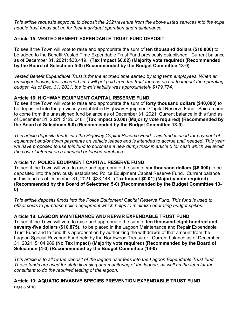*This article requests approval to deposit the 2021revenue from the above listed services into the expe ndable trust funds set up for their individual operation and maintenance.*

## **Article 15: VESTED BENEFIT EXPENDABLE TRUST FUND DEPOSIT**

To see if the Town will vote to raise and appropriate the sum of **ten thousand dollars (\$10,000)** to be added to the Benefit Vested Time Expendable Trust Fund previously established. Current balance as of December 31, 2021: \$30,419. **(Tax Impact \$0.02) (Majority vote required) (Recommended by the Board of Selectmen 5-0) (Recommended by the Budget Committee 13-0)**

*Vested Benefit Expendable Trust is for the accrued time earned by long term employees. When an employee leaves, their accrued time will get paid from the trust fund so as not to impact the operating budget. As of Dec. 31, 2021, the town's liability was approximately \$179,774.*

## **Article 16: HIGHWAY EQUIPMENT CAPITAL RESERVE FUND**

To see if the Town will vote to raise and appropriate the sum of **forty thousand dollars (\$40,000)** to be deposited into the previously established Highway Equipment Capital Reserve Fund. Said amount to come from the unassigned fund balance as of December 31, 2021. Current balance in this fund as of December 31, 2021: \$126,048. **(Tax Impact \$0.00) (Majority vote required) (Recommended by the Board of Selectmen 5-0) (Recommended by the Budget Committee 13-0)**

*This article deposits funds into the Highway Capital Reserve Fund. This fund is used for payment of equipment and/or down payments on vehicle leases and is intended to accrue until needed. This year we have proposed to use this fund to purchase a new dump truck in article 5 for cash which will avoid the cost of interest on a financed or leased purchase.* 

## **Article 17: POLICE EQUIPMENT CAPITAL RESERVE FUND**

To see if the Town will vote to raise and appropriate the sum of **six thousand dollars (\$6,000)** to be deposited into the previously established Police Equipment Capital Reserve Fund. Current balance in this fund as of December 31, 2021: \$23,148. **(Tax Impact \$0.01) (Majority vote required) (Recommended by the Board of Selectmen 5-0) (Recommended by the Budget Committee 13- 0)**

*This article deposits funds into the Police Equipment Capital Reserve Fund. This fund is used to offset costs to purchase police equipment which helps to minimize operating budget spikes.*

## **Article 18: LAGOON MAINTENANCE AND REPAIR EXPENDABLE TRUST FUND**

To see if the Town will vote to raise and appropriate the sum of **ten thousand eight hundred and seventy-five dollars (\$10,875).** to be placed in the Lagoon Maintenance and Repair Expendable Trust Fund and to fund this appropriation by authorizing the withdrawal of that amount from the Lagoon Special Revenue Fund held by the Northwood Treasurer. Current balance as of December 31, 2021: \$104,989 **(No Tax Impact) (Majority vote required) (Recommended by the Board of Selectmen (4-0) (Recommended by the Budget Committee (14-0)**

*This article is to allow the deposit of the lagoon user fees into the Lagoon Expendable Trust fund. These funds are used for state licensing and monitoring of the lagoon, as well as the fees for the consultant to do the required testing of the lagoon.*

## Page **6** of **10 Article 19: AQUATIC INVASIVE SPECIES PREVENTION EXPENDABLE TRUST FUND**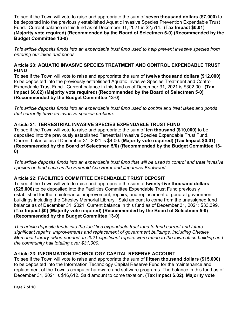To see if the Town will vote to raise and appropriate the sum of **seven thousand dollars (\$7,000)** to be deposited into the previously established Aquatic Invasive Species Prevention Expendable Trust Fund. Current balance in this fund as of December 31, 2021 is \$2,514. **(Tax Impact \$0.01) (Majority vote required) (Recommended by the Board of Selectmen 5-0) (Recommended by the Budget Committee 13-0)**

*This article deposits funds into an expendable trust fund used to help prevent invasive species from entering our lakes and ponds.*

## **Article 20: AQUATIC INVASIVE SPECIES TREATMENT AND CONTROL EXPENDABLE TRUST FUND**

To see if the Town will vote to raise and appropriate the sum of **twelve thousand dollars (\$12,000)**  to be deposited into the previously established Aquatic Invasive Species Treatment and Control Expendable Trust Fund. Current balance in this fund as of December 31, 2021 is \$302.00. **(Tax Impact \$0.02) (Majority vote required) (Recommended by the Board of Selectmen 5-0) (Recommended by the Budget Committee 13-0)**

*This article deposits funds into an expendable trust fund used to control and treat lakes and ponds that currently have an invasive species problem.* 

## **Article 21: TERRESTRIAL INVASIVE SPECIES EXPENDABLE TRUST FUND**

To see if the Town will vote to raise and appropriate the sum of **ten thousand (\$10,000)** to be deposited into the previously established Terrestrial Invasive Species Expendable Trust Fund. Current balance as of December 31, 2021 is \$4.00**. (Majority vote required) (Tax Impact \$0.01) (Recommended by the Board of Selectmen 5/0) (Recommended by the Budget Committee 13- 0)** 

*This article deposits funds into an expendable trust fund that will be used to control and treat invasive species on land such as the Emerald Ash Borer and Japanese Knotweed.*

## **Article 22: FACILITIES COMMITTEE EXPENDABLE TRUST DEPOSIT**

To see if the Town will vote to raise and appropriate the sum of **twenty-five thousand dollars (\$25,000)** to be deposited into the Facilities Committee Expendable Trust Fund previously established for the maintenance, improvement, repairs, and replacement of general government buildings including the Chesley Memorial Library. Said amount to come from the unassigned fund balance as of December 31, 2021. Current balance in this fund as of December 31, 2021: \$33,399. **(Tax Impact \$0) (Majority vote required) (Recommended by the Board of Selectmen 5-0) (Recommended by the Budget Committee 13-0)**

*This article deposits funds into the facilities expendable trust fund to fund current and future significant repairs, improvements and replacement of government buildings, including Chesley Memorial Library, when needed. In 2021 significant repairs were made to the town office building and the community hall totaling over \$31,000.*

## **Article 23: INFORMATION TECHNOLOGY CAPITAL RESERVE ACCOUNT**

To see if the Town will vote to raise and appropriate the sum of **fifteen thousand dollars (\$15,000)** to be deposited into the Information Technology Capital Reserve Fund for the maintenance and replacement of the Town's computer hardware and software programs. The balance in this fund as of December 31, 2021 is \$16,612. Said amount to come taxation. **(Tax Impact \$.02). Majority vote**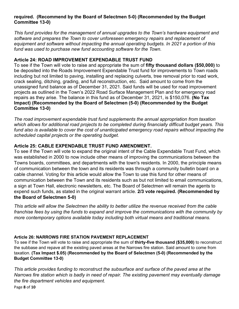## **required. (Recommend by the Board of Selectmen 5-0) (Recommended by the Budget Committee 13-0)**

*This fund provides for the management of annual upgrades to the Town's hardware equipment and software and prepares the Town to cover unforeseen emergency repairs and replacement of equipment and software without impacting the annual operating budgets. In 2021 a portion of this fund was used to purchase new fund accounting software for the Town.* 

## **Article 24: ROAD IMPROVEMENT EXPENDABLE TRUST FUND**

To see if the Town will vote to raise and appropriate the sum of **fifty thousand dollars (\$50,000)** to be deposited into the Roads Improvement Expendable Trust fund for improvements to Town roads including but not limited to paving, installing and replacing culverts, tree removal prior to road work, crack sealing, ditching, grading, and full reconstruction, etc. Said amount to come from the unassigned fund balance as of December 31, 2021. Said funds will be used for road improvement projects as outlined in the Town's 2022 Road Surface Management Plan and for emergency road repairs as they arise. The balance in this fund as of December 31, 2021, is \$150,076. **(No Tax Impact) (Recommended by the Board of Selectmen (5-0) (Recommended by the Budget Committee 13-0)** 

*The road improvement expendable trust fund supplements the annual appropriation from taxation which allows for additional road projects to be completed during financially difficult budget years. This*  fund also is available to cover the cost of unanticipated emergency road repairs without impacting the *scheduled capital projects or the operating budget.* 

## **Article 25: CABLE EXPENDABLE TRUST FUND AMENDMENT.**

To see if the Town will vote to expand the original intent of the Cable Expendable Trust Fund, which was established in 2000 to now include other means of improving the communications between the Towns boards, committees, and departments with the town's residents. In 2000, the principle means of communication between the town and its residents was through a community bulletin board on a cable channel. Voting for this article would allow the Town to use this fund for other means of communication between the Town and its residents such as but not limited to email communications, a sign at Town Hall, electronic newsletters, etc. The Board of Selectmen will remain the agents to expend such funds, as stated in the original warrant article. **2/3 vote required. (Recommended by the Board of Selectmen 5-0)**

*This article will allow the Selectmen the ability to better utilize the revenue received from the cable franchise fees by using the funds to expand and improve the communications with the community by more contemporary options available today including both virtual means and traditional means.* 

## **Article 26: NARROWS FIRE STATION PAVEMENT REPLACEMENT**

To see if the Town will vote to raise and appropriate the sum of **thirty-five thousand (\$35,000)** to reconstruct the subbase and repave all the existing paved areas at the Narrows fire station. Said amount to come from taxation. **(Tax Impact \$.05) (Recommended by the Board of Selectmen (5-0) (Recommended by the Budget Committee 13-0)** 

*This article provides funding to reconstruct the subsurface and surface of the paved area at the Narrows fire station which is badly in need of repair. The existing pavement may eventually damage the fire department vehicles and equipment.* 

Page **8** of **10**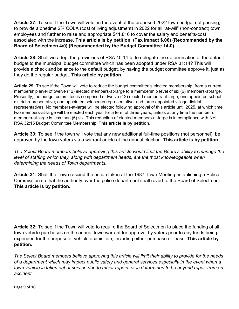**Article 27:** To see if the Town will vote, in the event of the proposed 2022 town budget not passing, to provide a onetime 2% COLA (cost of living adjustment) in 2022 for all "at-will" (non-contract) town employees and further to raise and appropriate \$41,816 to cover the salary and benefits-cost associated with the increase. **This article is by petition**. **(Tax Impact \$.06) (Recommended by the Board of Selectmen 4/0) (Recommended by the Budget Committee 14-0)**

**Article 28:** Shall we adopt the provisions of RSA 40:14-b, to delegate the determination of the default budget to the municipal budget committee which has been adopted under RSA 31:14? This will provide a check and balance to the default budget, by having the budget committee approve it, just as they do the regular budget. **This article by petition**.

**Article 29:** To see if the Town will vote to reduce the budget committee's elected membership, from a current membership level of twelve (12) elected members-at-large to a membership level of six (6) members-at-large. Presently, the budget committee is comprised of twelve (12) elected members-at-large; one appointed school district representative; one appointed selectmen representative; and three appointed village district representatives. No members-at-large will be elected following approval of this article until 2025, at which time two members-at-large will be elected each year for a term of three years, unless at any time the number of members-at-large is less than (6) six. This reduction of elected members-at-large is in compliance with NH RSA 32:15 Budget Committee Membership. **This article is by petition**.

**Article 30:** To see if the town will vote that any new additional full-time positions (not personnel), be approved by the town voters via a warrant article at the annual election. **This article is by petition**.

*The Select Board members believe approving this article would limit the Board's ability to manage the*  level of staffing which they, along with department heads, are the most knowledgeable when *determining the needs of Town departments.* 

**Article 31:** Shall the Town rescind the action taken at the 1987 Town Meeting establishing a Police Commission so that the authority over the police department shall revert to the Board of Selectmen. **This article is by petition.**

**Article 32:** To see if the Town will vote to require the Board of Selectmen to place the funding of all town vehicle purchases on the annual town warrant for approval by voters prior to any funds being expended for the purpose of vehicle acquisition, including either purchase or lease. **This article by petition.** 

*The Select Board members believe approving this article will limit their ability to provide for the needs of a department which may impact public safety and general services especially in the event when a town vehicle is taken out of service due to major repairs or is determined to be beyond repair from an accident.*